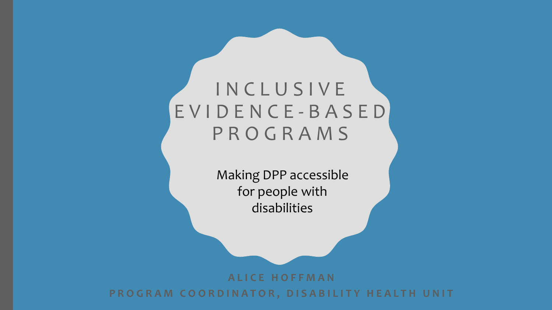#### INCLUSIVE EVIDENCE - BASED PROGRAMS

Making DPP accessible for people with disabilities

**ALICE HOFFMAN**

**PROGRAM COORDINATOR, DISABILITY HEALTH UNIT**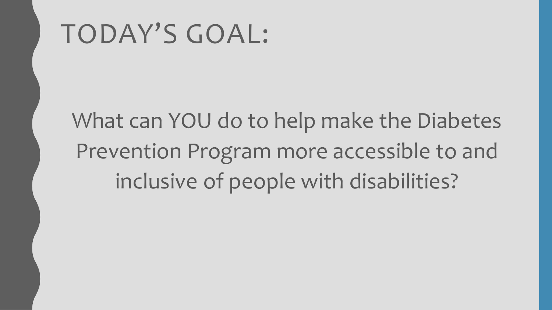#### TODAY'S GOAL:

What can YOU do to help make the Diabetes Prevention Program more accessible to and inclusive of people with disabilities?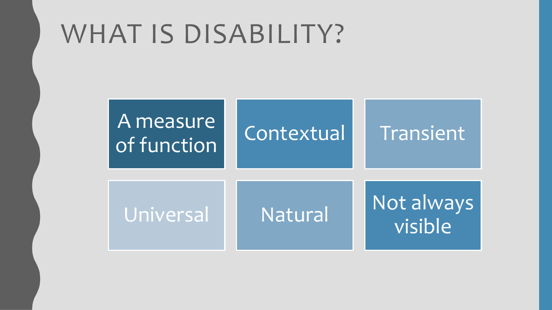#### WHAT IS DISABILITY?

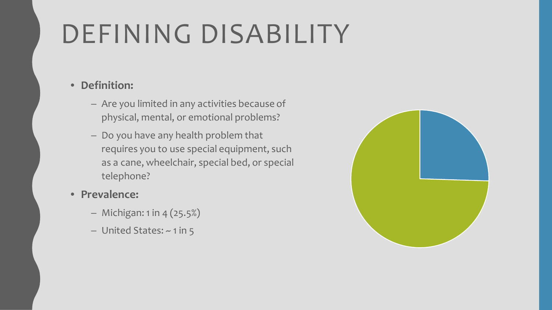# DEFINING DISABILITY

#### • **Definition:**

- Are you limited in any activities because of physical, mental, or emotional problems?
- Do you have any health problem that requires you to use special equipment, such as a cane, wheelchair, special bed, or special telephone?

#### • **Prevalence:**

- Michigan: 1 in 4 (25.5%)
- United States: ~ 1 in 5

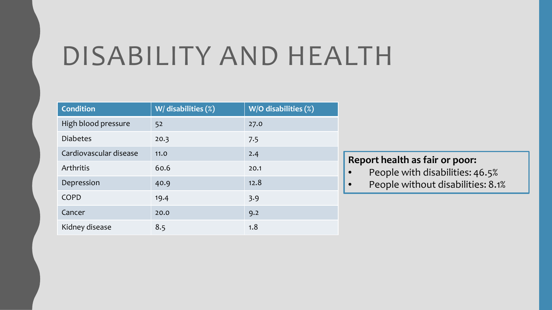#### DISABILITY AND HEALTH

| <b>Condition</b>       | W/ disabilities (%) | W/O disabilities (%) |
|------------------------|---------------------|----------------------|
| High blood pressure    | 52                  | 27.0                 |
| <b>Diabetes</b>        | 20.3                | 7.5                  |
| Cardiovascular disease | 11.0                | 2.4                  |
| Arthritis              | 60.6                | 20.1                 |
| Depression             | 40.9                | 12.8                 |
| <b>COPD</b>            | 19.4                | 3.9                  |
| Cancer                 | 20.0                | 9.2                  |
| Kidney disease         | 8.5                 | 1.8                  |

#### **Report health as fair or poor:**

- People with disabilities: 46.5%
- People without disabilities: 8.1%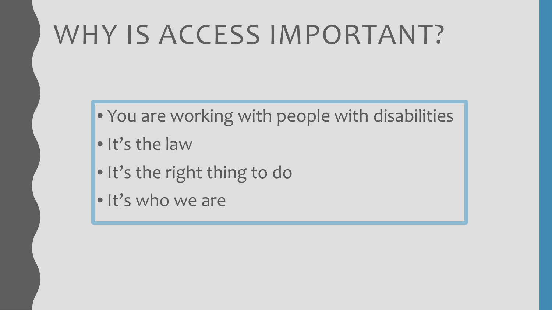## WHY IS ACCESS IMPORTANT?

- You are working with people with disabilities
- It's the law
- It's the right thing to do
- . It's who we are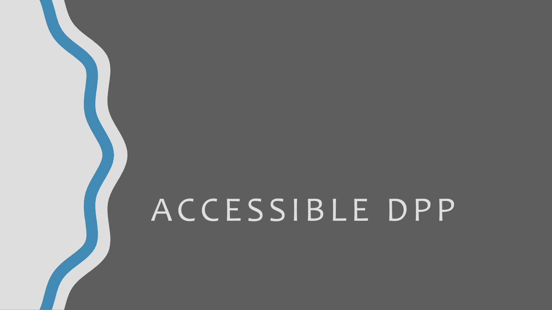# ACCESSIBLE DPP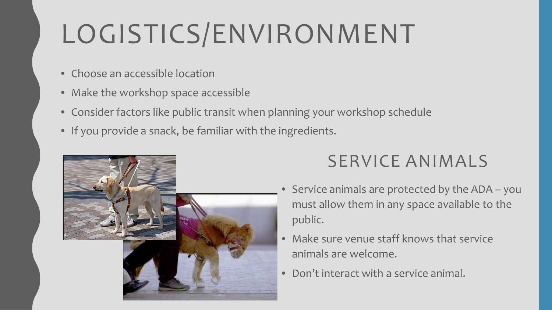# LOGISTICS/ENVIRONMENT

- Choose an accessible location
- Make the workshop space accessible
- Consider factors like public transit when planning your workshop schedule
- If you provide a snack, be familiar with the ingredients.



#### SERVICE ANIMALS

- Service animals are protected by the ADA you must allow them in any space available to the public.
- Make sure venue staff knows that service animals are welcome.
- Don't interact with a service animal.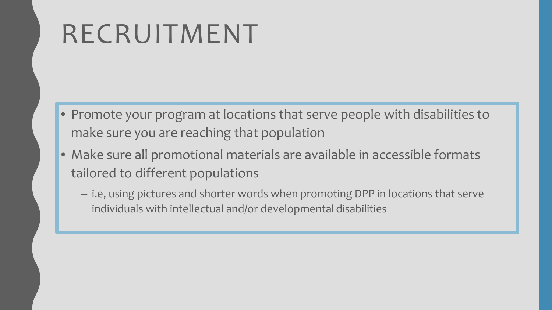### RECRUITMENT

- Promote your program at locations that serve people with disabilities to make sure you are reaching that population
- Make sure all promotional materials are available in accessible formats tailored to different populations
	- i.e, using pictures and shorter words when promoting DPP in locations that serve individuals with intellectual and/or developmental disabilities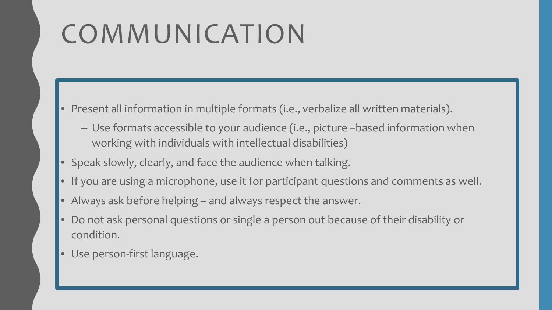# COMMUNICATION

- Present all information in multiple formats (i.e., verbalize all written materials).
	- Use formats accessible to your audience (i.e., picture –based information when working with individuals with intellectual disabilities)
- Speak slowly, clearly, and face the audience when talking.
- If you are using a microphone, use it for participant questions and comments as well.
- Always ask before helping and always respect the answer.
- Do not ask personal questions or single a person out because of their disability or condition.
- Use person-first language.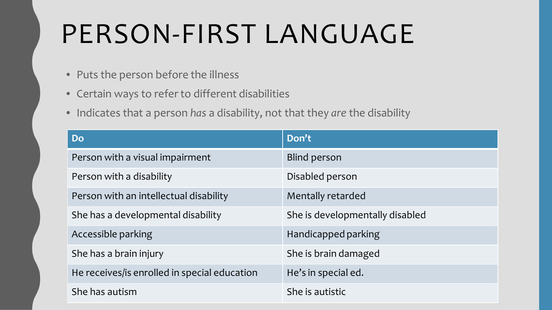## PERSON-FIRST LANGUAGE

- Puts the person before the illness
- Certain ways to refer to different disabilities
- Indicates that a person *has* a disability, not that they *are* the disability

| <b>Do</b>                                    | Don't                           |
|----------------------------------------------|---------------------------------|
| Person with a visual impairment              | <b>Blind person</b>             |
| Person with a disability                     | Disabled person                 |
| Person with an intellectual disability       | Mentally retarded               |
| She has a developmental disability           | She is developmentally disabled |
| Accessible parking                           | Handicapped parking             |
| She has a brain injury                       | She is brain damaged            |
| He receives/is enrolled in special education | He's in special ed.             |
| She has autism                               | She is autistic                 |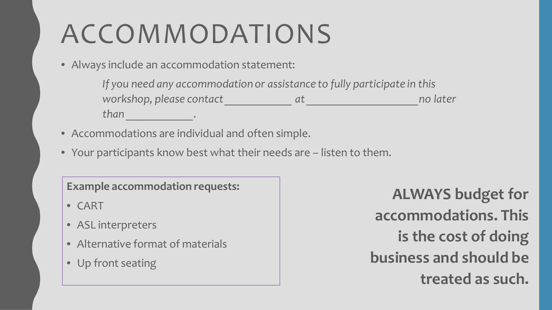## ACCOMMODATIONS

• Always include an accommodation statement:

*If you need any accommodation or assistance to fully participate in this workshop, please contact \_\_\_\_\_\_\_\_\_\_\_\_ at \_\_\_\_\_\_\_\_\_\_\_\_\_\_\_\_\_\_\_\_no later than \_\_\_\_\_\_\_\_\_\_\_\_.*

- Accommodations are individual and often simple.
- Your participants know best what their needs are listen to them.

#### **Example accommodation requests:**

- CART
- ASL interpreters
- Alternative format of materials
- Up front seating

**ALWAYS budget for accommodations. This is the cost of doing business and should be treated as such.**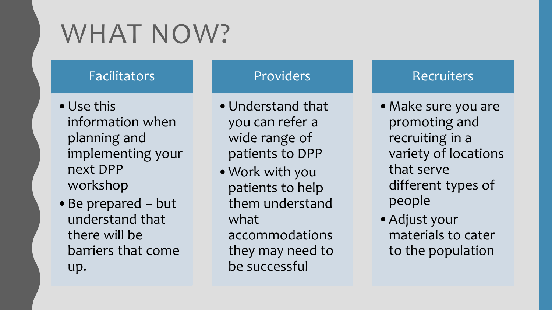## WHAT NOW?

#### Facilitators

- •Use this information when planning and implementing your next DPP workshop
- •Be prepared but understand that there will be barriers that come up.

#### Providers

- •Understand that you can refer a wide range of patients to DPP
- •Work with you patients to help them understand what accommodations they may need to be successful

#### Recruiters

- •Make sure you are promoting and recruiting in a variety of locations that serve different types of people
- •Adjust your materials to cater to the population